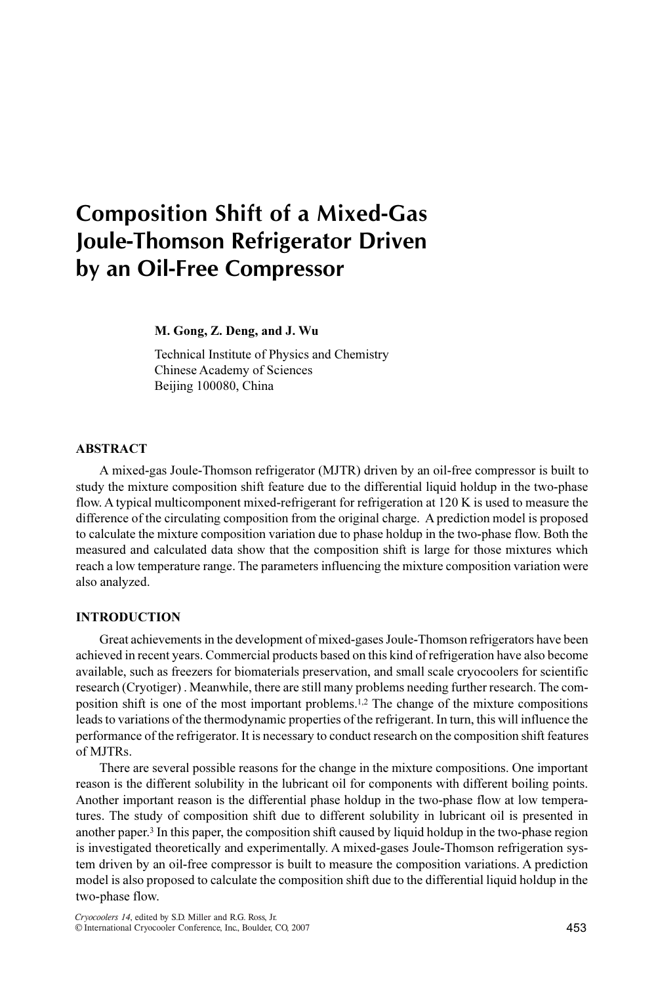# Composition Shift of a Mixed-Gas Joule-Thomson Refrigerator Driven by an Oil-Free Compressor

M. Gong, Z. Deng, and J. Wu

Technical Institute of Physics and Chemistry Chinese Academy of Sciences Beijing 100080, China

### ABSTRACT

A mixed-gas Joule-Thomson refrigerator (MJTR) driven by an oil-free compressor is built to study the mixture composition shift feature due to the differential liquid holdup in the two-phase flow. A typical multicomponent mixed-refrigerant for refrigeration at 120 K is used to measure the difference of the circulating composition from the original charge. A prediction model is proposed to calculate the mixture composition variation due to phase holdup in the two-phase flow. Both the measured and calculated data show that the composition shift is large for those mixtures which reach a low temperature range. The parameters influencing the mixture composition variation were also analyzed.

## INTRODUCTION

Great achievements in the development of mixed-gases Joule-Thomson refrigerators have been achieved in recent years. Commercial products based on this kind of refrigeration have also become available, such as freezers for biomaterials preservation, and small scale cryocoolers for scientific research (Cryotiger) . Meanwhile, there are still many problems needing further research. The composition shift is one of the most important problems.1,2 The change of the mixture compositions leads to variations of the thermodynamic properties of the refrigerant. In turn, this will influence the performance of the refrigerator. It is necessary to conduct research on the composition shift features of MJTRs.

There are several possible reasons for the change in the mixture compositions. One important reason is the different solubility in the lubricant oil for components with different boiling points. Another important reason is the differential phase holdup in the two-phase flow at low temperatures. The study of composition shift due to different solubility in lubricant oil is presented in another paper.<sup>3</sup> In this paper, the composition shift caused by liquid holdup in the two-phase region is investigated theoretically and experimentally. A mixed-gases Joule-Thomson refrigeration system driven by an oil-free compressor is built to measure the composition variations. A prediction model is also proposed to calculate the composition shift due to the differential liquid holdup in the two-phase flow.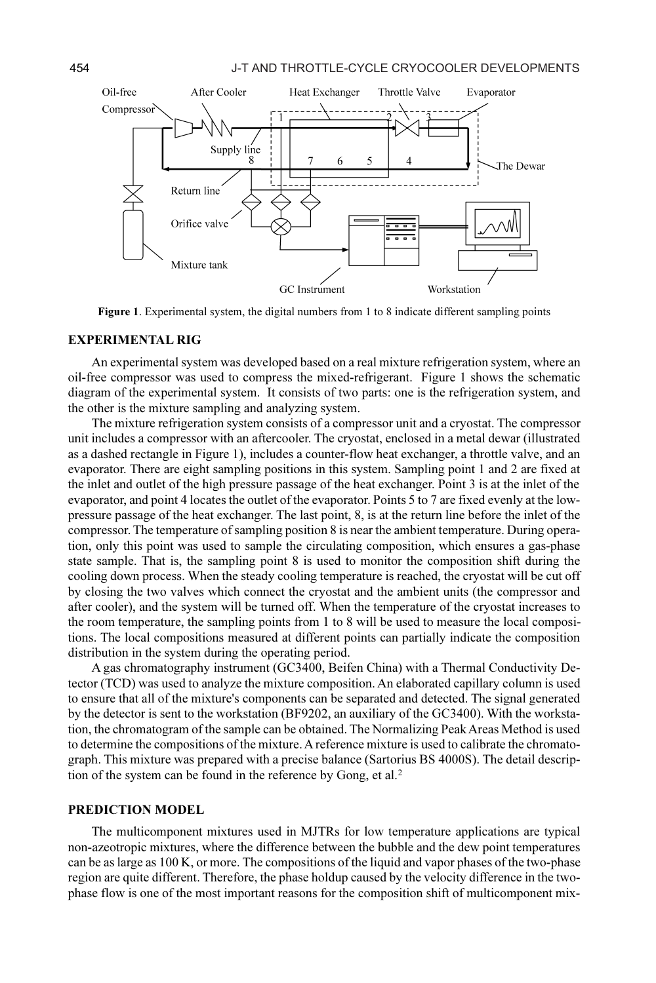

Figure 1. Experimental system, the digital numbers from 1 to 8 indicate different sampling points

#### EXPERIMENTAL RIG

An experimental system was developed based on a real mixture refrigeration system, where an oil-free compressor was used to compress the mixed-refrigerant. Figure 1 shows the schematic diagram of the experimental system. It consists of two parts: one is the refrigeration system, and the other is the mixture sampling and analyzing system.

The mixture refrigeration system consists of a compressor unit and a cryostat. The compressor unit includes a compressor with an aftercooler. The cryostat, enclosed in a metal dewar (illustrated as a dashed rectangle in Figure 1), includes a counter-flow heat exchanger, a throttle valve, and an evaporator. There are eight sampling positions in this system. Sampling point 1 and 2 are fixed at the inlet and outlet of the high pressure passage of the heat exchanger. Point 3 is at the inlet of the evaporator, and point 4 locates the outlet of the evaporator. Points 5 to 7 are fixed evenly at the lowpressure passage of the heat exchanger. The last point, 8, is at the return line before the inlet of the compressor. The temperature of sampling position 8 is near the ambient temperature. During operation, only this point was used to sample the circulating composition, which ensures a gas-phase state sample. That is, the sampling point 8 is used to monitor the composition shift during the cooling down process. When the steady cooling temperature is reached, the cryostat will be cut off by closing the two valves which connect the cryostat and the ambient units (the compressor and after cooler), and the system will be turned off. When the temperature of the cryostat increases to the room temperature, the sampling points from 1 to 8 will be used to measure the local compositions. The local compositions measured at different points can partially indicate the composition distribution in the system during the operating period.

A gas chromatography instrument (GC3400, Beifen China) with a Thermal Conductivity Detector (TCD) was used to analyze the mixture composition. An elaborated capillary column is used to ensure that all of the mixture's components can be separated and detected. The signal generated by the detector is sent to the workstation (BF9202, an auxiliary of the GC3400). With the workstation, the chromatogram of the sample can be obtained. The Normalizing Peak Areas Method is used to determine the compositions of the mixture. A reference mixture is used to calibrate the chromatograph. This mixture was prepared with a precise balance (Sartorius BS 4000S). The detail description of the system can be found in the reference by Gong, et al.<sup>2</sup>

#### PREDICTION MODEL

The multicomponent mixtures used in MJTRs for low temperature applications are typical non-azeotropic mixtures, where the difference between the bubble and the dew point temperatures can be as large as 100 K, or more. The compositions of the liquid and vapor phases of the two-phase region are quite different. Therefore, the phase holdup caused by the velocity difference in the twophase flow is one of the most important reasons for the composition shift of multicomponent mix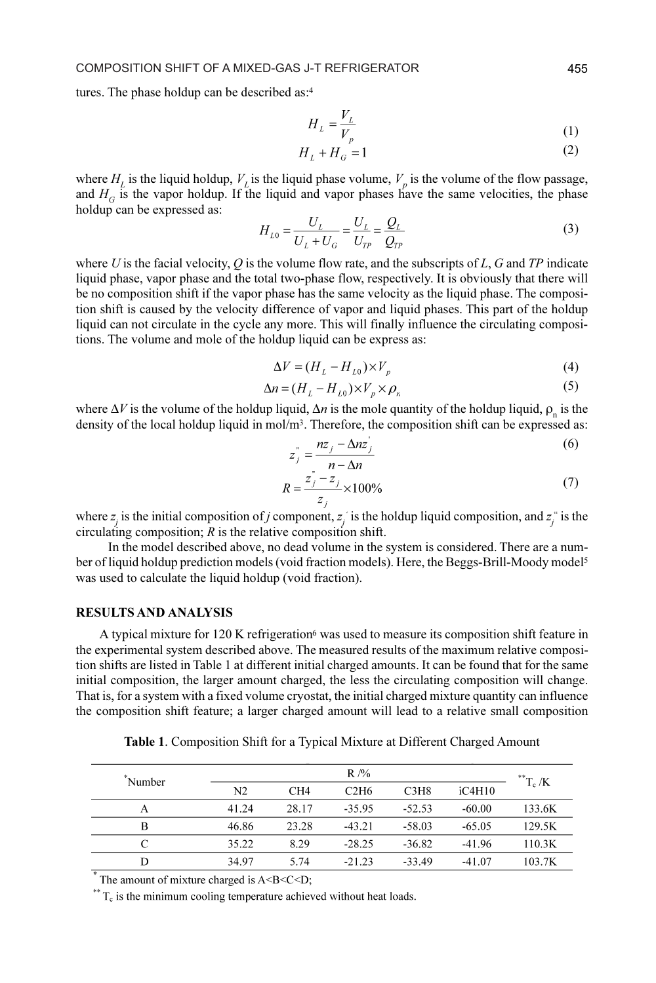tures. The phase holdup can be described as:<sup>4</sup>

$$
H_L = \frac{V_L}{V_R} \tag{1}
$$

$$
H_L + H_G = 1\tag{2}
$$

where  $H_L$  is the liquid holdup,  $V_L$  is the liquid phase volume,  $V_p$  is the volume of the flow passage, and  $H_G$  is the vapor holdup. If the liquid and vapor phases have the same velocities, the phase holdup can be expressed as:

$$
H_{L0} = \frac{U_L}{U_L + U_G} = \frac{U_L}{U_{TP}} = \frac{Q_L}{Q_{TP}}\tag{3}
$$

where U is the facial velocity,  $Q$  is the volume flow rate, and the subscripts of  $L$ ,  $G$  and  $TP$  indicate liquid phase, vapor phase and the total two-phase flow, respectively. It is obviously that there will be no composition shift if the vapor phase has the same velocity as the liquid phase. The composition shift is caused by the velocity difference of vapor and liquid phases. This part of the holdup liquid can not circulate in the cycle any more. This will finally influence the circulating compositions. The volume and mole of the holdup liquid can be express as:

$$
\Delta V = (H_L - H_{L0}) \times V_p \tag{4}
$$

$$
\Delta n = (H_L - H_{L0}) \times V_p \times \rho_n \tag{5}
$$

where  $\Delta V$  is the volume of the holdup liquid,  $\Delta n$  is the mole quantity of the holdup liquid,  $\rho_n$  is the density of the local holdup liquid in mol/m<sup>3</sup>. Therefore, the composition shift can be expressed as:

$$
z_j^* = \frac{nz_j - \Delta nz_j'}{n - \Delta n}
$$
 (6)

$$
R = \frac{z_j - z_j}{z_j} \times 100\%
$$
 (7)

where  $z_i$  is the initial composition of j component,  $z_i$  is the holdup liquid composition, and  $z_i^*$  is the circulating composition;  $R$  is the relative composition shift.

 In the model described above, no dead volume in the system is considered. There are a number of liquid holdup prediction models (void fraction models). Here, the Beggs-Brill-Moody model<sup>5</sup> was used to calculate the liquid holdup (void fraction).

#### RESULTS AND ANALYSIS

A typical mixture for 120 K refrigeration<sup>6</sup> was used to measure its composition shift feature in the experimental system described above. The measured results of the maximum relative composition shifts are listed in Table 1 at different initial charged amounts. It can be found that for the same initial composition, the larger amount charged, the less the circulating composition will change. That is, for a system with a fixed volume cryostat, the initial charged mixture quantity can influence the composition shift feature; a larger charged amount will lead to a relative small composition

Table 1. Composition Shift for a Typical Mixture at Different Charged Amount

| Number | $R$ /%         |       |          |          |          | $T_{\rm c}$ /K |
|--------|----------------|-------|----------|----------|----------|----------------|
|        | N <sub>2</sub> | CH4   | C2H6     | C3H8     | iC4H10   |                |
| А      | 41.24          | 28.17 | $-35.95$ | $-52.53$ | $-60.00$ | 133.6K         |
| B      | 46.86          | 23.28 | $-43.21$ | $-58.03$ | $-65.05$ | 129.5K         |
|        | 35.22          | 8.29  | $-28.25$ | $-36.82$ | $-41.96$ | 110.3K         |
| D      | 34.97          | 5.74  | $-21.23$ | $-33.49$ | $-41.07$ | 103.7K         |

The amount of mixture charged is A<B<C<D;

 $*$ <sup>\*\*</sup> T<sub>c</sub> is the minimum cooling temperature achieved without heat loads.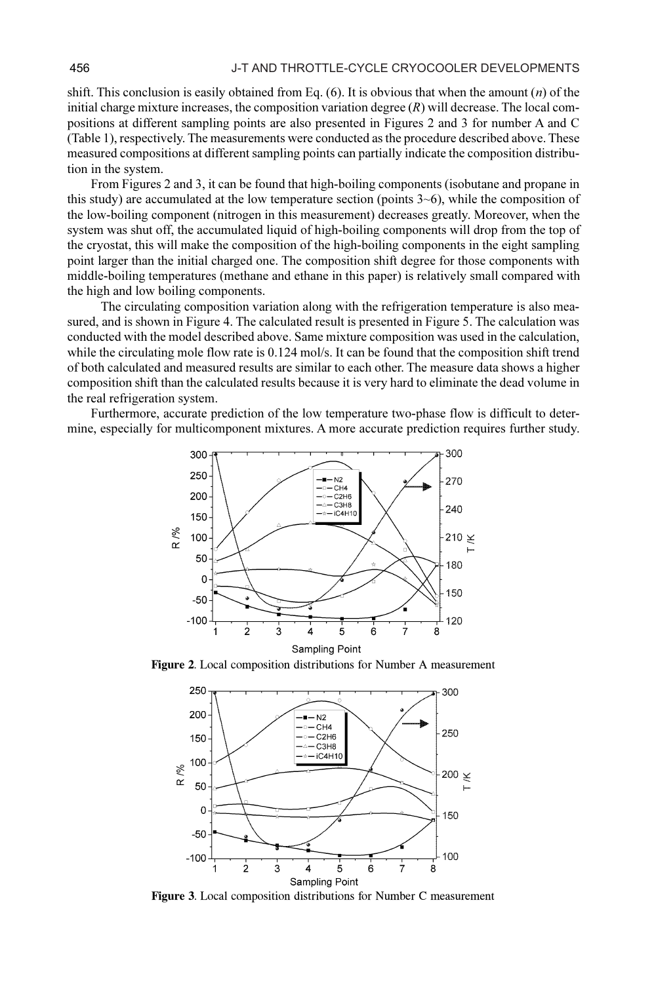shift. This conclusion is easily obtained from Eq.  $(6)$ . It is obvious that when the amount  $(n)$  of the initial charge mixture increases, the composition variation degree  $(R)$  will decrease. The local compositions at different sampling points are also presented in Figures 2 and 3 for number A and C (Table 1), respectively. The measurements were conducted as the procedure described above. These measured compositions at different sampling points can partially indicate the composition distribution in the system.

From Figures 2 and 3, it can be found that high-boiling components (isobutane and propane in this study) are accumulated at the low temperature section (points  $3\neg 6$ ), while the composition of the low-boiling component (nitrogen in this measurement) decreases greatly. Moreover, when the system was shut off, the accumulated liquid of high-boiling components will drop from the top of the cryostat, this will make the composition of the high-boiling components in the eight sampling point larger than the initial charged one. The composition shift degree for those components with middle-boiling temperatures (methane and ethane in this paper) is relatively small compared with the high and low boiling components.

 The circulating composition variation along with the refrigeration temperature is also measured, and is shown in Figure 4. The calculated result is presented in Figure 5. The calculation was conducted with the model described above. Same mixture composition was used in the calculation, while the circulating mole flow rate is 0.124 mol/s. It can be found that the composition shift trend of both calculated and measured results are similar to each other. The measure data shows a higher composition shift than the calculated results because it is very hard to eliminate the dead volume in the real refrigeration system.

Furthermore, accurate prediction of the low temperature two-phase flow is difficult to determine, especially for multicomponent mixtures. A more accurate prediction requires further study.



Figure 2. Local composition distributions for Number A measurement



Figure 3. Local composition distributions for Number C measurement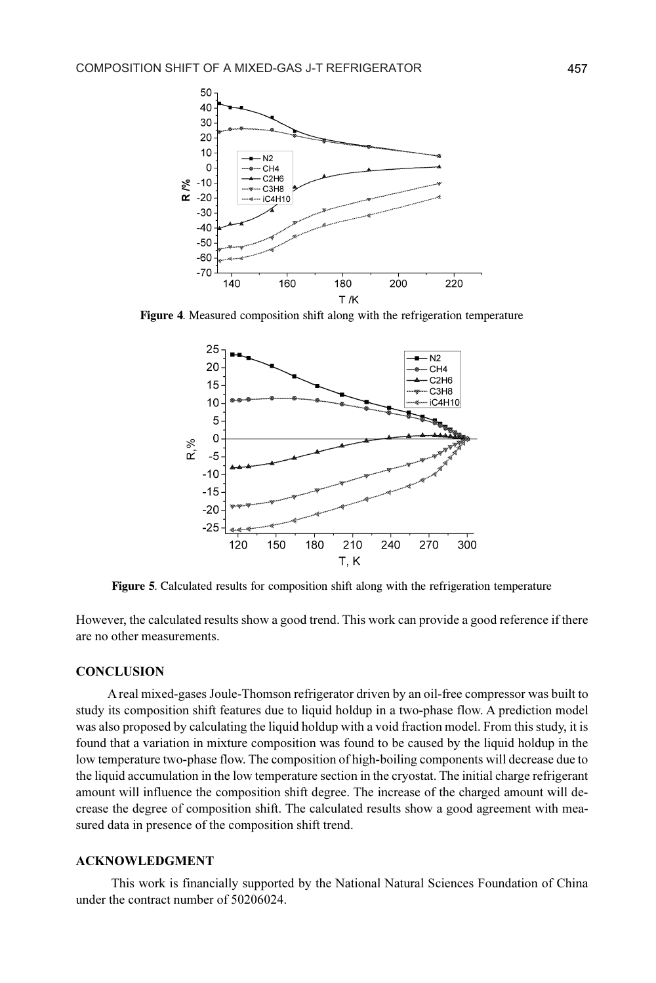

Figure 4. Measured composition shift along with the refrigeration temperature



Figure 5. Calculated results for composition shift along with the refrigeration temperature

However, the calculated results show a good trend. This work can provide a good reference if there are no other measurements.

#### **CONCLUSION**

 A real mixed-gases Joule-Thomson refrigerator driven by an oil-free compressor was built to study its composition shift features due to liquid holdup in a two-phase flow. A prediction model was also proposed by calculating the liquid holdup with a void fraction model. From this study, it is found that a variation in mixture composition was found to be caused by the liquid holdup in the low temperature two-phase flow. The composition of high-boiling components will decrease due to the liquid accumulation in the low temperature section in the cryostat. The initial charge refrigerant amount will influence the composition shift degree. The increase of the charged amount will decrease the degree of composition shift. The calculated results show a good agreement with measured data in presence of the composition shift trend.

#### ACKNOWLEDGMENT

 This work is financially supported by the National Natural Sciences Foundation of China under the contract number of 50206024.